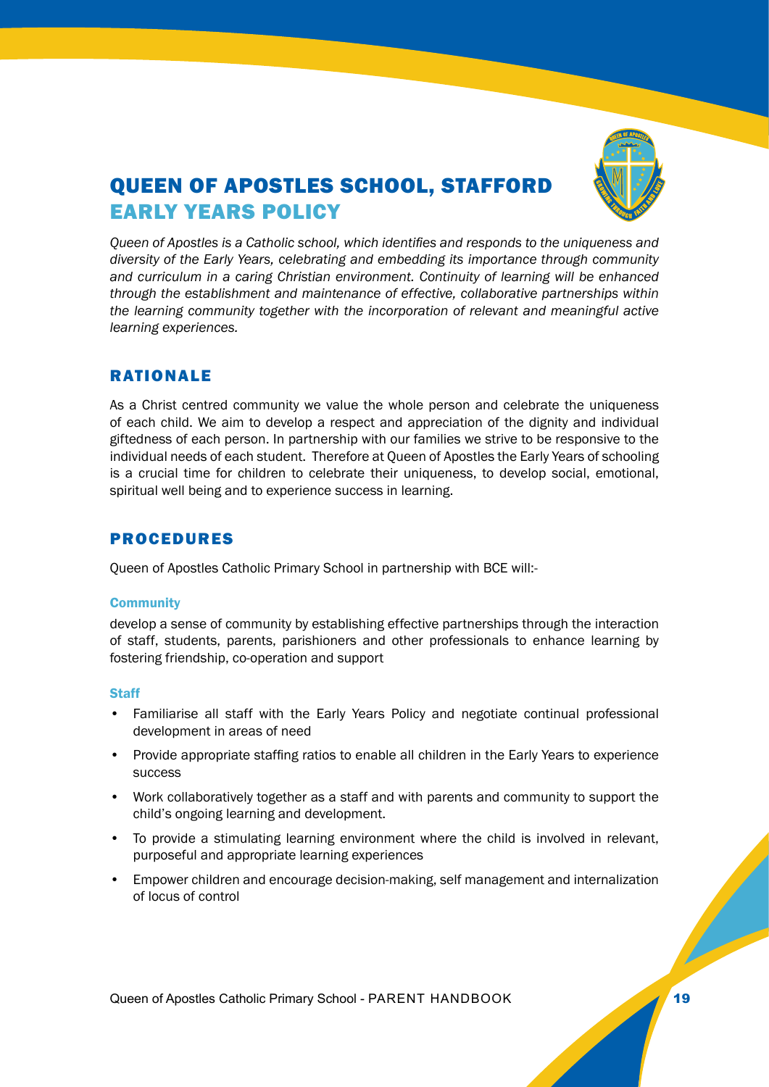

# QUEEN OF APOSTLES SCHOOL, STAFFORD EARLY YEARS POLICY

*Queen of Apostles is a Catholic school, which identifies and responds to the uniqueness and diversity of the Early Years, celebrating and embedding its importance through community and curriculum in a caring Christian environment. Continuity of learning will be enhanced through the establishment and maintenance of effective, collaborative partnerships within the learning community together with the incorporation of relevant and meaningful active learning experiences.*

## RATIONALE

As a Christ centred community we value the whole person and celebrate the uniqueness of each child. We aim to develop a respect and appreciation of the dignity and individual giftedness of each person. In partnership with our families we strive to be responsive to the individual needs of each student. Therefore at Queen of Apostles the Early Years of schooling is a crucial time for children to celebrate their uniqueness, to develop social, emotional, spiritual well being and to experience success in learning.

# PROCEDURES

Queen of Apostles Catholic Primary School in partnership with BCE will:-

## **Community**

develop a sense of community by establishing effective partnerships through the interaction of staff, students, parents, parishioners and other professionals to enhance learning by fostering friendship, co-operation and support

## **Staff**

- Familiarise all staff with the Early Years Policy and negotiate continual professional development in areas of need
- Provide appropriate staffing ratios to enable all children in the Early Years to experience success
- Work collaboratively together as a staff and with parents and community to support the child's ongoing learning and development.
- To provide a stimulating learning environment where the child is involved in relevant, purposeful and appropriate learning experiences
- Empower children and encourage decision-making, self management and internalization of locus of control